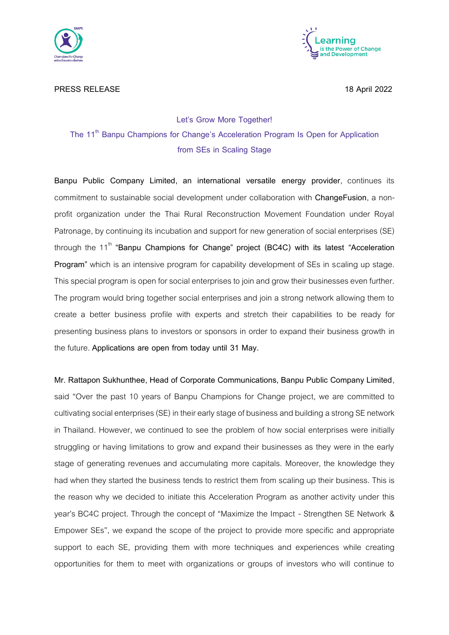



# **PRESS RELEASE** 18 April 2022

# **Let's Grow More Together! The 11th Banpu Champions for Change's Acceleration Program Is Open for Application from SEs in Scaling Stage**

**Banpu Public Company Limited, an international versatile energy provider**, continues its commitment to sustainable social development under collaboration with **ChangeFusion**, a nonprofit organization under the Thai Rural Reconstruction Movement Foundation under Royal Patronage, by continuing its incubation and support for new generation of social enterprises (SE) through the 11<sup>th</sup> "Banpu Champions for Change" project (BC4C) with its latest "Acceleration **Program"** which is an intensive program for capability development of SEs in scaling up stage. This special program is open for social enterprises to join and grow their businesses even further. The program would bring together social enterprises and join a strong network allowing them to create a better business profile with experts and stretch their capabilities to be ready for presenting business plans to investors or sponsors in order to expand their business growth in the future. **Applications are open from today until 31 May.**

**Mr. Rattapon Sukhunthee, Head of Corporate Communications, Banpu Public Company Limited**, said "Over the past 10 years of Banpu Champions for Change project, we are committed to cultivating social enterprises (SE) in their early stage of business and building a strong SE network in Thailand. However, we continued to see the problem of how social enterprises were initially struggling or having limitations to grow and expand their businesses as they were in the early stage of generating revenues and accumulating more capitals. Moreover, the knowledge they had when they started the business tends to restrict them from scaling up their business. This is the reason why we decided to initiate this Acceleration Program as another activity under this year's BC4C project. Through the concept of "Maximize the Impact - Strengthen SE Network & Empower SEs", we expand the scope of the project to provide more specific and appropriate support to each SE, providing them with more techniques and experiences while creating opportunities for them to meet with organizations or groups of investors who will continue to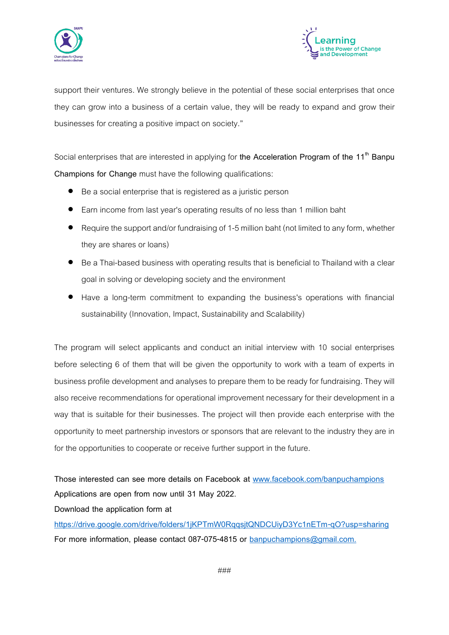



support their ventures. We strongly believe in the potential of these social enterprises that once they can grow into a business of a certain value, they will be ready to expand and grow their businesses for creating a positive impact on society."

Social enterprises that are interested in applying for **the Acceleration Program of the 11th Banpu Champions for Change** must have the following qualifications:

- Be a social enterprise that is registered as a juristic person
- Earn income from last year's operating results of no less than 1 million baht
- $\bullet$  Require the support and/or fundraising of 1-5 million baht (not limited to any form, whether they are shares or loans)
- Be aThai-based business with operating results that is beneficial to Thailand with a clear goal in solving or developing society and the environment
- Have a long-term commitment to expanding the business's operations with financial sustainability (Innovation, Impact, Sustainability and Scalability)

The program will select applicants and conduct an initial interview with 10 social enterprises before selecting 6 of them that will be given the opportunity to work with a team of experts in business profile development and analyses to prepare them to be ready for fundraising. They will also receive recommendations for operational improvement necessary for their development in a way that is suitable for their businesses. The project will then provide each enterprise with the opportunity to meet partnership investors or sponsors that are relevant to the industry they are in for the opportunities to cooperate or receive further support in the future.

**Those interested can see more details on Facebook at [www.facebook.com/banpuchampions](http://www.facebook.com/banpuchampions) Applications are open from now until 31 May 2022.**

**Download the application form at**

**<https://drive.google.com/drive/folders/1jKPTmW0RqqsjtQNDCUiyD3Yc1nETm-qO?usp=sharing> For more information, please contact 087-075-4815 or [banpuchampions@gmail.com.](mailto:banpuchampions@gmail.com)**